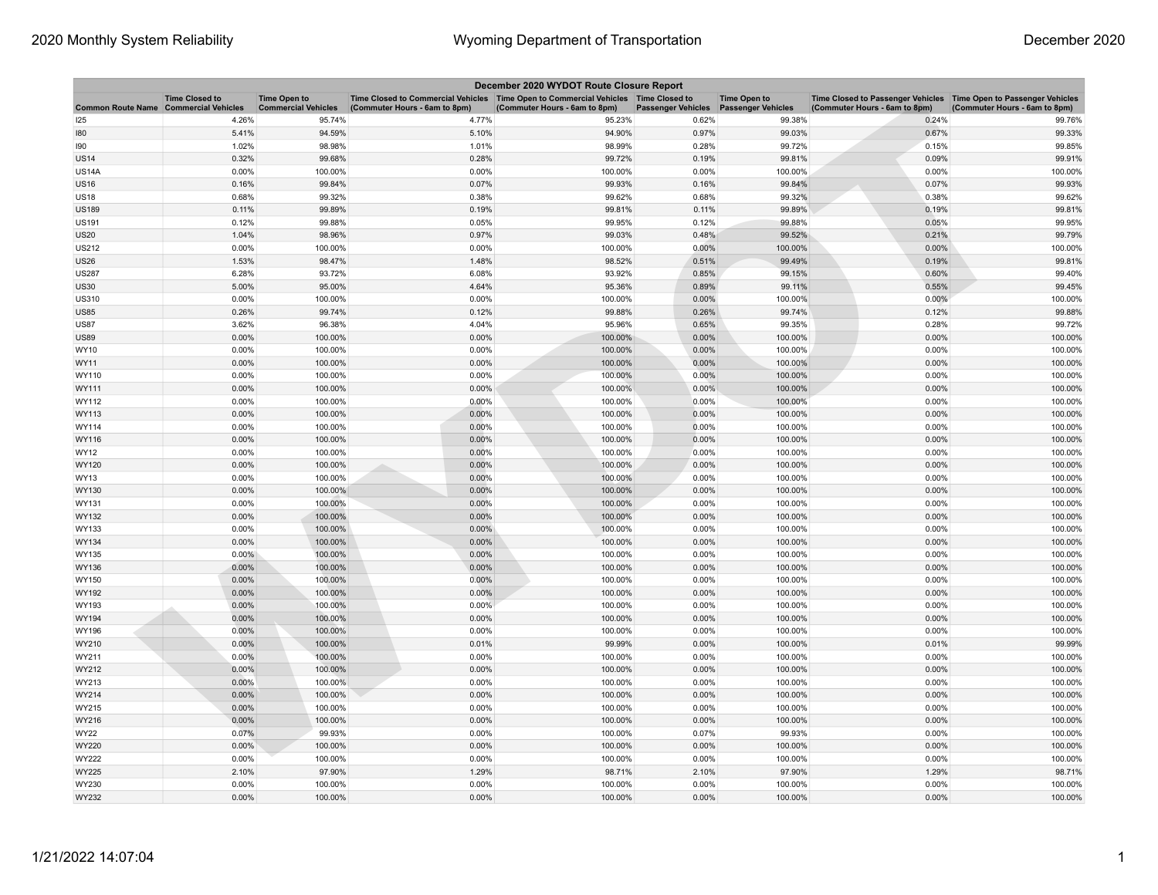| December 2020 WYDOT Route Closure Report     |                       |                                                   |                                                                                                                       |                               |                           |                                                  |                                                                                                    |                               |  |
|----------------------------------------------|-----------------------|---------------------------------------------------|-----------------------------------------------------------------------------------------------------------------------|-------------------------------|---------------------------|--------------------------------------------------|----------------------------------------------------------------------------------------------------|-------------------------------|--|
| <b>Common Route Name Commercial Vehicles</b> | <b>Time Closed to</b> | <b>Time Open to</b><br><b>Commercial Vehicles</b> | Time Closed to Commercial Vehicles  Time Open to Commercial Vehicles  Time Closed to<br>(Commuter Hours - 6am to 8pm) | (Commuter Hours - 6am to 8pm) | <b>Passenger Vehicles</b> | <b>Time Open to</b><br><b>Passenger Vehicles</b> | Time Closed to Passenger Vehicles Time Open to Passenger Vehicles<br>(Commuter Hours - 6am to 8pm) | (Commuter Hours - 6am to 8pm) |  |
| 125                                          | 4.26%                 | 95.74%                                            | 4.77%                                                                                                                 | 95.23%                        | 0.62%                     | 99.38%                                           | 0.24%                                                                                              | 99.76%                        |  |
| 180                                          | 5.41%                 | 94.59%                                            | 5.10%                                                                                                                 | 94.90%                        | 0.97%                     | 99.03%                                           | 0.67%                                                                                              | 99.33%                        |  |
| 190                                          | 1.02%                 | 98.98%                                            | 1.01%                                                                                                                 | 98.99%                        | 0.28%                     | 99.72%                                           | 0.15%                                                                                              | 99.85%                        |  |
| <b>US14</b>                                  | 0.32%                 | 99.68%                                            | 0.28%                                                                                                                 | 99.72%                        | 0.19%                     | 99.81%                                           | 0.09%                                                                                              | 99.91%                        |  |
| <b>US14A</b>                                 | 0.00%                 | 100.00%                                           | 0.00%                                                                                                                 | 100.00%                       | 0.00%                     | 100.00%                                          | 0.00%                                                                                              | 100.00%                       |  |
| <b>US16</b>                                  | 0.16%                 | 99.84%                                            | 0.07%                                                                                                                 | 99.93%                        | 0.16%                     | 99.84%                                           | 0.07%                                                                                              | 99.93%                        |  |
| US18                                         | 0.68%                 | 99.32%                                            | 0.38%                                                                                                                 | 99.62%                        | 0.68%                     | 99.32%                                           | 0.38%                                                                                              | 99.62%                        |  |
| <b>US189</b>                                 | 0.11%                 | 99.89%                                            | 0.19%                                                                                                                 | 99.81%                        | 0.11%                     | 99.89%                                           | 0.19%                                                                                              | 99.81%                        |  |
| <b>US191</b>                                 | 0.12%                 | 99.88%                                            | 0.05%                                                                                                                 | 99.95%                        | 0.12%                     | 99.88%                                           | 0.05%                                                                                              | 99.95%                        |  |
| US20                                         | 1.04%                 | 98.96%                                            | 0.97%                                                                                                                 | 99.03%                        | 0.48%                     | 99.52%                                           | 0.21%                                                                                              | 99.79%                        |  |
| <b>US212</b>                                 | 0.00%                 | 100.00%                                           | 0.00%                                                                                                                 | 100.00%                       | 0.00%                     | 100.00%                                          | $0.00\%$                                                                                           | 100.00%                       |  |
| <b>US26</b>                                  | 1.53%                 | 98.47%                                            | 1.48%                                                                                                                 | 98.52%                        | 0.51%                     | 99.49%                                           | 0.19%                                                                                              | 99.81%                        |  |
| <b>US287</b>                                 | 6.28%                 | 93.72%                                            | 6.08%                                                                                                                 | 93.92%                        | 0.85%                     | 99.15%                                           | 0.60%                                                                                              | 99.40%                        |  |
| <b>US30</b>                                  | 5.00%                 | 95.00%                                            | 4.64%                                                                                                                 | 95.36%                        | 0.89%                     | 99.11%                                           | 0.55%                                                                                              | 99.45%                        |  |
| <b>US310</b>                                 | 0.00%                 | 100.00%                                           | 0.00%                                                                                                                 | 100.00%                       | 0.00%                     | 100.00%                                          | 0.00%                                                                                              | 100.00%                       |  |
| <b>US85</b>                                  | 0.26%                 | 99.74%                                            | 0.12%                                                                                                                 | 99.88%                        | 0.26%                     | 99.74%                                           | 0.12%                                                                                              | 99.88%                        |  |
| <b>US87</b>                                  | 3.62%                 | 96.38%                                            | 4.04%                                                                                                                 | 95.96%                        | 0.65%                     | 99.35%                                           | 0.28%                                                                                              | 99.72%                        |  |
| US89                                         | 0.00%                 | 100.00%                                           | 0.00%                                                                                                                 | 100.00%                       | 0.00%                     | 100.00%                                          | 0.00%                                                                                              | 100.00%                       |  |
| WY10                                         | 0.00%                 | 100.00%                                           | 0.00%                                                                                                                 | 100.00%                       | 0.00%                     | 100.00%                                          | 0.00%                                                                                              | 100.00%                       |  |
| WY11                                         | 0.00%                 | 100.00%                                           | 0.00%                                                                                                                 | 100.00%                       | 0.00%                     | 100.00%                                          | 0.00%                                                                                              | 100.00%                       |  |
| WY110                                        | 0.00%                 | 100.00%                                           | 0.00%                                                                                                                 | 100.00%                       | 0.00%                     | 100.00%                                          | 0.00%                                                                                              | 100.00%                       |  |
| WY111                                        | 0.00%                 | 100.00%                                           | 0.00%                                                                                                                 | 100.00%                       | 0.00%                     | 100.00%                                          | 0.00%                                                                                              | 100.00%                       |  |
| WY112                                        | 0.00%                 | 100.00%                                           | 0.00%                                                                                                                 | 100.00%                       | 0.00%                     | 100.00%                                          | 0.00%                                                                                              | 100.00%                       |  |
| WY113                                        | 0.00%                 | 100.00%                                           | 0.00%                                                                                                                 | 100.00%                       | 0.00%                     | 100.00%                                          | 0.00%                                                                                              | 100.00%                       |  |
| WY114                                        | 0.00%                 | 100.00%                                           | 0.00%                                                                                                                 | 100.00%                       | 0.00%                     | 100.00%                                          | 0.00%                                                                                              | 100.00%                       |  |
| WY116                                        | $0.00\%$              | 100.00%                                           | 0.00%                                                                                                                 | 100.00%                       | 0.00%                     | 100.00%                                          | $0.00\%$                                                                                           | 100.00%                       |  |
| WY12                                         | 0.00%                 | 100.00%                                           | 0.00%                                                                                                                 | 100.00%                       | 0.00%                     | 100.00%                                          | 0.00%                                                                                              | 100.00%                       |  |
| WY120                                        | 0.00%                 | 100.00%                                           | 0.00%                                                                                                                 | 100.00%                       | 0.00%                     | 100.00%                                          | 0.00%                                                                                              | 100.00%                       |  |
| WY13                                         | 0.00%                 | 100.00%                                           | 0.00%                                                                                                                 | 100.00%                       | 0.00%                     | 100.00%                                          | 0.00%                                                                                              | 100.00%                       |  |
| WY130                                        | 0.00%                 | 100.00%                                           | 0.00%                                                                                                                 | 100.00%                       | 0.00%                     | 100.00%                                          | 0.00%                                                                                              | 100.00%                       |  |
| WY131                                        | 0.00%                 | 100.00%                                           | 0.00%                                                                                                                 | 100.00%                       | 0.00%                     | 100.00%                                          | 0.00%                                                                                              | 100.00%                       |  |
| WY132                                        | 0.00%                 | 100.00%                                           | 0.00%                                                                                                                 | 100.00%                       | 0.00%                     | 100.00%                                          | 0.00%                                                                                              | 100.00%                       |  |
| WY133                                        | 0.00%                 | 100.00%                                           | 0.00%                                                                                                                 | 100.00%                       | 0.00%                     | 100.00%                                          | 0.00%                                                                                              | 100.00%                       |  |
| WY134                                        | 0.00%                 | 100.00%                                           | 0.00%                                                                                                                 | 100.00%                       | 0.00%                     | 100.00%                                          | 0.00%                                                                                              | 100.00%                       |  |
| WY135                                        | $0.00\%$              | 100.00%                                           | 0.00%                                                                                                                 | 100.00%                       | 0.00%                     | 100.00%                                          | 0.00%                                                                                              | 100.00%                       |  |
| WY136                                        | 0.00%                 | 100.00%                                           | 0.00%                                                                                                                 | 100.00%                       | 0.00%                     | 100.00%                                          | 0.00%                                                                                              | 100.00%                       |  |
| WY150                                        | 0.00%                 | 100.00%                                           | 0.00%                                                                                                                 | 100.00%                       | 0.00%                     | 100.00%                                          | 0.00%                                                                                              | 100.00%                       |  |
| WY192                                        | 0.00%                 | 100.00%                                           | 0.00%                                                                                                                 | 100.00%                       | 0.00%                     | 100.00%                                          | 0.00%                                                                                              | 100.00%                       |  |
| WY193                                        | 0.00%                 | 100.00%                                           | 0.00%                                                                                                                 | 100.00%                       | 0.00%                     | 100.00%                                          | 0.00%                                                                                              | 100.00%                       |  |
| WY194                                        | 0.00%                 | 100.00%                                           | 0.00%                                                                                                                 | 100.00%                       | 0.00%                     | 100.00%                                          | $0.00\%$                                                                                           | 100.00%                       |  |
| WY196                                        | 0.00%                 | 100.00%                                           | 0.00%                                                                                                                 | 100.00%                       | 0.00%                     | 100.00%                                          | 0.00%                                                                                              | 100.00%                       |  |
| WY210                                        | 0.00%                 | 100.00%                                           | 0.01%                                                                                                                 | 99.99%                        | 0.00%                     | 100.00%                                          | 0.01%                                                                                              | 99.99%                        |  |
| WY211                                        | 0.00%                 | 100.00%                                           | 0.00%                                                                                                                 | 100.00%                       | 0.00%                     | 100.00%                                          | 0.00%                                                                                              | 100.00%                       |  |
| WY212                                        | 0.00%                 | 100.00%                                           | 0.00%                                                                                                                 | 100.00%                       | 0.00%                     | 100.00%                                          | 0.00%                                                                                              | 100.00%                       |  |
| WY213                                        | 0.00%                 | 100.00%                                           | 0.00%                                                                                                                 | 100.00%                       | 0.00%                     | 100.00%                                          | 0.00%                                                                                              | 100.00%                       |  |
| WY214                                        | 0.00%                 | 100.00%                                           | 0.00%                                                                                                                 | 100.00%                       | 0.00%                     | 100.00%                                          | 0.00%                                                                                              | 100.00%                       |  |
| WY215                                        | 0.00%                 | 100.00%                                           | 0.00%                                                                                                                 | 100.00%                       | 0.00%                     | 100.00%                                          | 0.00%                                                                                              | 100.00%                       |  |
| WY216                                        | 0.00%                 | 100.00%                                           | 0.00%                                                                                                                 | 100.00%                       | 0.00%                     | 100.00%                                          | 0.00%                                                                                              | 100.00%                       |  |
| WY22                                         | 0.07%                 | 99.93%                                            | 0.00%                                                                                                                 | 100.00%                       | 0.07%                     | 99.93%                                           | 0.00%                                                                                              | 100.00%                       |  |
| WY220                                        | 0.00%                 | 100.00%                                           | 0.00%                                                                                                                 | 100.00%                       | 0.00%                     | 100.00%                                          | 0.00%                                                                                              | 100.00%                       |  |
| WY222                                        | 0.00%                 | 100.00%                                           | 0.00%                                                                                                                 | 100.00%                       | 0.00%                     | 100.00%                                          | 0.00%                                                                                              | 100.00%                       |  |
| WY225                                        | 2.10%                 | 97.90%                                            | 1.29%                                                                                                                 | 98.71%                        | 2.10%                     | 97.90%                                           | 1.29%                                                                                              | 98.71%                        |  |
| WY230                                        | 0.00%                 | 100.00%                                           | 0.00%                                                                                                                 | 100.00%                       | 0.00%                     | 100.00%                                          | 0.00%                                                                                              | 100.00%                       |  |
| WY232                                        | 0.00%                 | 100.00%                                           | 0.00%                                                                                                                 | 100.00%                       | 0.00%                     | 100.00%                                          | 0.00%                                                                                              | 100.00%                       |  |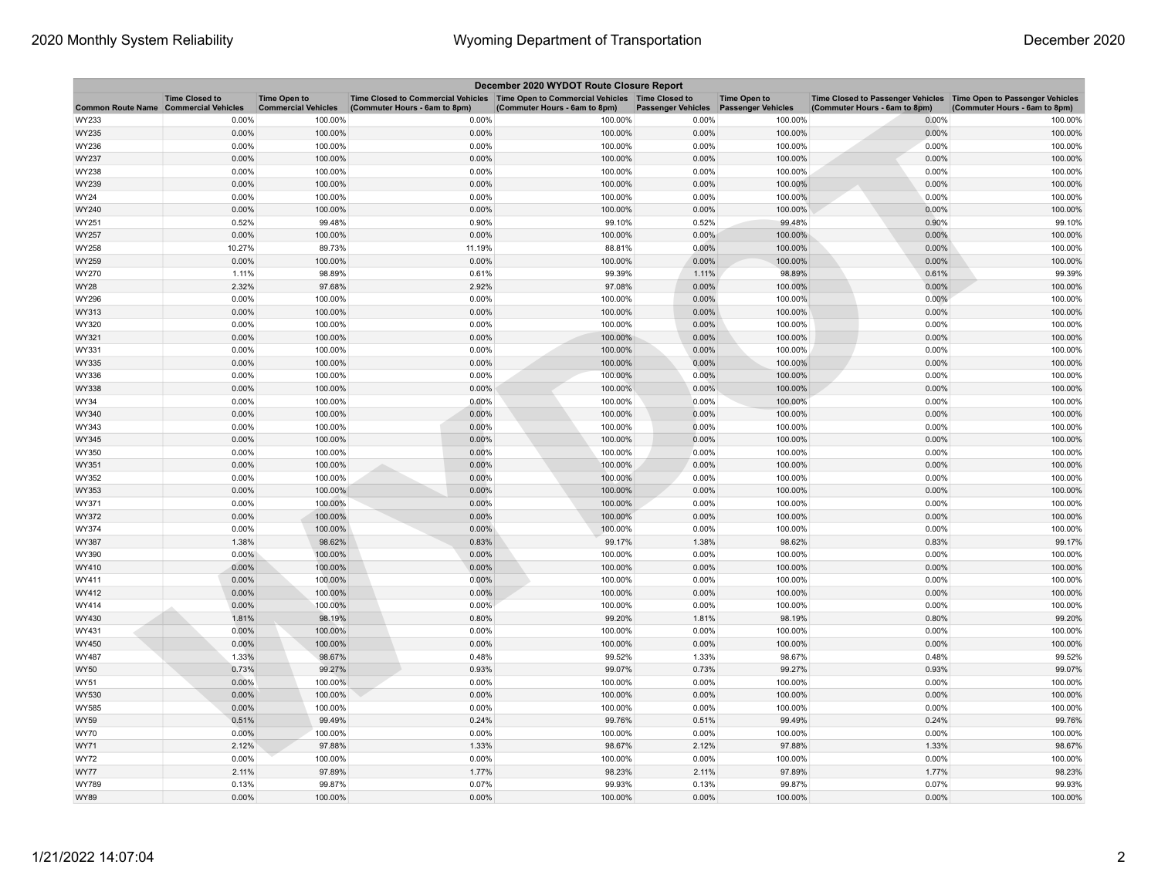| December 2020 WYDOT Route Closure Report |                       |                                                   |                                                                                                                       |                               |                           |                                                  |                                                                                                      |                               |  |
|------------------------------------------|-----------------------|---------------------------------------------------|-----------------------------------------------------------------------------------------------------------------------|-------------------------------|---------------------------|--------------------------------------------------|------------------------------------------------------------------------------------------------------|-------------------------------|--|
| Common Route Name Commercial Vehicles    | <b>Time Closed to</b> | <b>Time Open to</b><br><b>Commercial Vehicles</b> | Time Closed to Commercial Vehicles  Time Open to Commercial Vehicles  Time Closed to<br>(Commuter Hours - 6am to 8pm) | (Commuter Hours - 6am to 8pm) | <b>Passenger Vehicles</b> | <b>Time Open to</b><br><b>Passenger Vehicles</b> | Time Closed to Passenger Vehicles   Time Open to Passenger Vehicles<br>(Commuter Hours - 6am to 8pm) | (Commuter Hours - 6am to 8pm) |  |
| WY233                                    | 0.00%                 | 100.00%                                           | 0.00%                                                                                                                 | 100.00%                       | 0.00%                     | 100.00%                                          | 0.00%                                                                                                | 100.00%                       |  |
| WY235                                    | 0.00%                 | 100.00%                                           | 0.00%                                                                                                                 | 100.00%                       | 0.00%                     | 100.00%                                          | 0.00%                                                                                                | 100.00%                       |  |
| WY236                                    | 0.00%                 | 100.00%                                           | 0.00%                                                                                                                 | 100.00%                       | 0.00%                     | 100.00%                                          | 0.00%                                                                                                | 100.00%                       |  |
| WY237                                    | $0.00\%$              | 100.00%                                           | 0.00%                                                                                                                 | 100.00%                       | $0.00\%$                  | 100.00%                                          | 0.00%                                                                                                | 100.00%                       |  |
| WY238                                    | 0.00%                 | 100.00%                                           | 0.00%                                                                                                                 | 100.00%                       | 0.00%                     | 100.00%                                          | 0.00%                                                                                                | 100.00%                       |  |
| WY239                                    | 0.00%                 | 100.00%                                           | 0.00%                                                                                                                 | 100.00%                       | 0.00%                     | 100.00%                                          | 0.00%                                                                                                | 100.00%                       |  |
| WY24                                     | 0.00%                 | 100.00%                                           | 0.00%                                                                                                                 | 100.00%                       | 0.00%                     | 100.00%                                          | 0.00%                                                                                                | 100.00%                       |  |
| WY240                                    | 0.00%                 | 100.00%                                           | 0.00%                                                                                                                 | 100.00%                       | 0.00%                     | 100.00%                                          | 0.00%                                                                                                | 100.00%                       |  |
| WY251                                    | 0.52%                 | 99.48%                                            | 0.90%                                                                                                                 | 99.10%                        | 0.52%                     | 99.48%                                           | 0.90%                                                                                                | 99.10%                        |  |
| WY257                                    | $0.00\%$              | 100.00%                                           | 0.00%                                                                                                                 | 100.00%                       | 0.00%                     | 100.00%                                          | 0.00%                                                                                                | 100.00%                       |  |
| WY258                                    | 10.27%                | 89.73%                                            | 11.19%                                                                                                                | 88.81%                        | 0.00%                     | 100.00%                                          | 0.00%                                                                                                | 100.00%                       |  |
| WY259                                    | 0.00%                 | 100.00%                                           | 0.00%                                                                                                                 | 100.00%                       | 0.00%                     | 100.00%                                          | 0.00%                                                                                                | 100.00%                       |  |
| WY270                                    | 1.11%                 | 98.89%                                            | 0.61%                                                                                                                 | 99.39%                        | 1.11%                     | 98.89%                                           | 0.61%                                                                                                | 99.39%                        |  |
| WY28                                     | 2.32%                 | 97.68%                                            | 2.92%                                                                                                                 | 97.08%                        | 0.00%                     | 100.00%                                          | 0.00%                                                                                                | 100.00%                       |  |
| WY296                                    | 0.00%                 | 100.00%                                           | 0.00%                                                                                                                 | 100.00%                       | 0.00%                     | 100.00%                                          | 0.00%                                                                                                | 100.00%                       |  |
| WY313                                    | 0.00%                 | 100.00%                                           | 0.00%                                                                                                                 | 100.00%                       | 0.00%                     | 100.00%                                          | 0.00%                                                                                                | 100.00%                       |  |
| WY320                                    | 0.00%                 | 100.00%                                           | 0.00%                                                                                                                 | 100.00%                       | 0.00%                     | 100.00%                                          | 0.00%                                                                                                | 100.00%                       |  |
| WY321                                    | 0.00%                 | 100.00%                                           | 0.00%                                                                                                                 | 100.00%                       | 0.00%                     | 100.00%                                          | 0.00%                                                                                                | 100.00%                       |  |
| WY331                                    | 0.00%                 | 100.00%                                           | 0.00%                                                                                                                 | 100.00%                       | 0.00%                     | 100.00%                                          | 0.00%                                                                                                | 100.00%                       |  |
| WY335                                    | 0.00%                 | 100.00%                                           | 0.00%                                                                                                                 | 100.00%                       | 0.00%                     | 100.00%                                          | 0.00%                                                                                                | 100.00%                       |  |
| WY336                                    | 0.00%                 | 100.00%                                           | 0.00%                                                                                                                 | 100.00%                       | 0.00%                     | 100.00%                                          | 0.00%                                                                                                | 100.00%                       |  |
| WY338                                    | 0.00%                 | 100.00%                                           | 0.00%                                                                                                                 | 100.00%                       | 0.00%                     | 100.00%                                          | 0.00%                                                                                                | 100.00%                       |  |
| WY34                                     | 0.00%                 | 100.00%                                           | 0.00%                                                                                                                 | 100.00%                       | 0.00%                     | 100.00%                                          | 0.00%                                                                                                | 100.00%                       |  |
| WY340                                    | 0.00%                 | 100.00%                                           | 0.00%                                                                                                                 | 100.00%                       | 0.00%                     | 100.00%                                          | 0.00%                                                                                                | 100.00%                       |  |
| WY343                                    | 0.00%                 | 100.00%                                           | 0.00%                                                                                                                 | 100.00%                       | 0.00%                     | 100.00%                                          | 0.00%                                                                                                | 100.00%                       |  |
| WY345                                    | 0.00%                 | 100.00%                                           | 0.00%                                                                                                                 | 100.00%                       | 0.00%                     | 100.00%                                          | 0.00%                                                                                                | 100.00%                       |  |
| WY350                                    | 0.00%                 | 100.00%                                           | 0.00%                                                                                                                 | 100.00%                       | 0.00%                     | 100.00%                                          | 0.00%                                                                                                | 100.00%                       |  |
| WY351                                    | $0.00\%$              | 100.00%                                           | 0.00%                                                                                                                 | 100.00%                       | $0.00\%$                  | 100.00%                                          | 0.00%                                                                                                | 100.00%                       |  |
| WY352                                    | 0.00%                 | 100.00%                                           | 0.00%                                                                                                                 | 100.00%                       | 0.00%                     | 100.00%                                          | 0.00%                                                                                                | 100.00%                       |  |
| WY353                                    | 0.00%                 | 100.00%                                           | 0.00%                                                                                                                 | 100.00%                       | 0.00%                     | 100.00%                                          | 0.00%                                                                                                | 100.00%                       |  |
| WY371                                    | 0.00%                 | 100.00%                                           | 0.00%                                                                                                                 | 100.00%                       | 0.00%                     | 100.00%                                          | 0.00%                                                                                                | 100.00%                       |  |
| WY372                                    | $0.00\%$              | 100.00%                                           | 0.00%                                                                                                                 | 100.00%                       | 0.00%                     | 100.00%                                          | 0.00%                                                                                                | 100.00%                       |  |
| WY374                                    | 0.00%                 | 100.00%                                           | 0.00%                                                                                                                 | 100.00%                       | 0.00%                     | 100.00%                                          | 0.00%                                                                                                | 100.00%                       |  |
| WY387                                    | 1.38%                 | 98.62%                                            | 0.83%                                                                                                                 | 99.17%                        | 1.38%                     | 98.62%                                           | 0.83%                                                                                                | 99.17%                        |  |
| WY390                                    | $0.00\%$              | 100.00%                                           | 0.00%                                                                                                                 | 100.00%                       | 0.00%                     | 100.00%                                          | 0.00%                                                                                                | 100.00%                       |  |
| WY410                                    | 0.00%                 | 100.00%                                           | 0.00%                                                                                                                 | 100.00%                       | 0.00%                     | 100.00%                                          | 0.00%                                                                                                | 100.00%                       |  |
| WY411                                    | 0.00%                 | 100.00%                                           | 0.00%                                                                                                                 | 100.00%                       | 0.00%                     | 100.00%                                          | 0.00%                                                                                                | 100.00%                       |  |
| WY412                                    | 0.00%                 | 100.00%                                           | 0.00%                                                                                                                 | 100.00%                       | 0.00%                     | 100.00%                                          | 0.00%                                                                                                | 100.00%                       |  |
| WY414                                    | 0.00%                 | 100.00%                                           | 0.00%                                                                                                                 | 100.00%                       | 0.00%                     | 100.00%                                          | 0.00%                                                                                                | 100.00%                       |  |
| WY430                                    | 1.81%                 | 98.19%                                            | 0.80%                                                                                                                 | 99.20%                        | 1.81%                     | 98.19%                                           | 0.80%                                                                                                | 99.20%                        |  |
| WY431                                    | 0.00%                 | 100.00%                                           | 0.00%                                                                                                                 | 100.00%                       | 0.00%                     | 100.00%                                          | 0.00%                                                                                                | 100.00%                       |  |
| WY450                                    | 0.00%                 | 100.00%                                           | 0.00%                                                                                                                 | 100.00%                       | 0.00%                     | 100.00%                                          | 0.00%                                                                                                | 100.00%                       |  |
| WY487                                    | 1.33%                 | 98.67%                                            | 0.48%                                                                                                                 | 99.52%                        | 1.33%                     | 98.67%                                           | 0.48%                                                                                                | 99.52%                        |  |
| <b>WY50</b>                              | 0.73%                 | 99.27%                                            | 0.93%                                                                                                                 | 99.07%                        | 0.73%                     | 99.27%                                           | 0.93%                                                                                                | 99.07%                        |  |
| WY51                                     | 0.00%                 | 100.00%                                           | 0.00%                                                                                                                 | 100.00%                       | 0.00%                     | 100.00%                                          | 0.00%                                                                                                | 100.00%                       |  |
| WY530                                    | 0.00%                 | 100.00%                                           | 0.00%                                                                                                                 | 100.00%                       | 0.00%                     | 100.00%                                          | 0.00%                                                                                                | 100.00%                       |  |
| WY585                                    | 0.00%                 | 100.00%                                           | 0.00%                                                                                                                 | 100.00%                       | 0.00%                     | 100.00%                                          | 0.00%                                                                                                | 100.00%                       |  |
| WY59                                     | 0.51%                 | 99.49%                                            | 0.24%                                                                                                                 | 99.76%                        | 0.51%                     | 99.49%                                           | 0.24%                                                                                                | 99.76%                        |  |
| WY70                                     | 0.00%                 | 100.00%                                           | 0.00%                                                                                                                 | 100.00%                       | 0.00%                     | 100.00%                                          | 0.00%                                                                                                | 100.00%                       |  |
| WY71                                     | 2.12%                 | 97.88%                                            | 1.33%                                                                                                                 | 98.67%                        | 2.12%                     | 97.88%                                           | 1.33%                                                                                                | 98.67%                        |  |
| WY72                                     | 0.00%                 | 100.00%                                           | 0.00%                                                                                                                 | 100.00%                       | 0.00%                     | 100.00%                                          | 0.00%                                                                                                | 100.00%                       |  |
| <b>WY77</b>                              | 2.11%                 | 97.89%                                            | 1.77%                                                                                                                 | 98.23%                        | 2.11%                     | 97.89%                                           | 1.77%                                                                                                | 98.23%                        |  |
| WY789                                    | 0.13%                 | 99.87%                                            | 0.07%                                                                                                                 | 99.93%                        | 0.13%                     | 99.87%                                           | 0.07%                                                                                                | 99.93%                        |  |
| <b>WY89</b>                              | 0.00%                 | 100.00%                                           | 0.00%                                                                                                                 | 100.00%                       | 0.00%                     | 100.00%                                          | 0.00%                                                                                                | 100.00%                       |  |